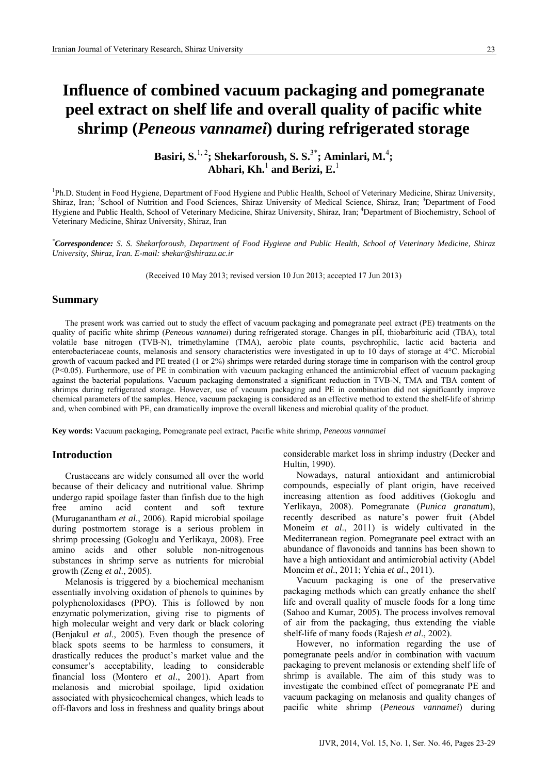# **Influence of combined vacuum packaging and pomegranate peel extract on shelf life and overall quality of pacific white shrimp (***Peneous vannamei***) during refrigerated storage**

**Basiri, S.**1, 2**; Shekarforoush, S. S.**3\***; Aminlari, M.**<sup>4</sup> **; Abhari, Kh.**<sup>1</sup>  **and Berizi, E.**<sup>1</sup>

<sup>1</sup>Ph.D. Student in Food Hygiene, Department of Food Hygiene and Public Health, School of Veterinary Medicine, Shiraz University, Shiraz, Iran; <sup>2</sup>School of Nutrition and Food Sciences, Shiraz University of Medical Science, Shiraz, Iran; <sup>3</sup>Department of Food Hygiene and Public Health, School of Veterinary Medicine, Shiraz University, Shiraz, Iran; <sup>4</sup>Department of Biochemistry, School of Veterinary Medicine, Shiraz University, Shiraz, Iran

*\* Correspondence: S. S. Shekarforoush, Department of Food Hygiene and Public Health, School of Veterinary Medicine, Shiraz University, Shiraz, Iran. E-mail: shekar@shirazu.ac.ir* 

(Received 10 May 2013; revised version 10 Jun 2013; accepted 17 Jun 2013)

## **Summary**

The present work was carried out to study the effect of vacuum packaging and pomegranate peel extract (PE) treatments on the quality of pacific white shrimp (*Peneous vannamei*) during refrigerated storage. Changes in pH, thiobarbituric acid (TBA), total volatile base nitrogen (TVB-N), trimethylamine (TMA), aerobic plate counts, psychrophilic, lactic acid bacteria and enterobacteriaceae counts, melanosis and sensory characteristics were investigated in up to 10 days of storage at 4°C. Microbial growth of vacuum packed and PE treated (1 or 2%) shrimps were retarded during storage time in comparison with the control group (P<0.05). Furthermore, use of PE in combination with vacuum packaging enhanced the antimicrobial effect of vacuum packaging against the bacterial populations. Vacuum packaging demonstrated a significant reduction in TVB-N, TMA and TBA content of shrimps during refrigerated storage. However, use of vacuum packaging and PE in combination did not significantly improve chemical parameters of the samples. Hence, vacuum packaging is considered as an effective method to extend the shelf-life of shrimp and, when combined with PE, can dramatically improve the overall likeness and microbial quality of the product.

**Key words:** Vacuum packaging, Pomegranate peel extract, Pacific white shrimp, *Peneous vannamei*

## **Introduction**

Crustaceans are widely consumed all over the world because of their delicacy and nutritional value. Shrimp undergo rapid spoilage faster than finfish due to the high free amino acid content and soft texture (Muruganantham *et al*., 2006). Rapid microbial spoilage during postmortem storage is a serious problem in shrimp processing (Gokoglu and Yerlikaya, 2008). Free amino acids and other soluble non-nitrogenous substances in shrimp serve as nutrients for microbial growth (Zeng *et al*., 2005).

Melanosis is triggered by a biochemical mechanism essentially involving oxidation of phenols to quinines by polyphenoloxidases (PPO). This is followed by non enzymatic polymerization, giving rise to pigments of high molecular weight and very dark or black coloring (Benjakul *et al*., 2005). Even though the presence of black spots seems to be harmless to consumers, it drastically reduces the product's market value and the consumer's acceptability, leading to considerable financial loss (Montero *et al*., 2001). Apart from melanosis and microbial spoilage, lipid oxidation associated with physicochemical changes, which leads to off-flavors and loss in freshness and quality brings about

considerable market loss in shrimp industry (Decker and Hultin, 1990).

Nowadays, natural antioxidant and antimicrobial compounds, especially of plant origin, have received increasing attention as food additives (Gokoglu and Yerlikaya, 2008). Pomegranate (*Punica granatum*), recently described as nature's power fruit (Abdel Moneim *et al*., 2011) is widely cultivated in the Mediterranean region. Pomegranate peel extract with an abundance of flavonoids and tannins has been shown to have a high antioxidant and antimicrobial activity (Abdel Moneim *et al*., 2011; Yehia *et al*., 2011).

Vacuum packaging is one of the preservative packaging methods which can greatly enhance the shelf life and overall quality of muscle foods for a long time (Sahoo and Kumar, 2005). The process involves removal of air from the packaging, thus extending the viable shelf-life of many foods (Rajesh *et al*., 2002).

However, no information regarding the use of pomegranate peels and/or in combination with vacuum packaging to prevent melanosis or extending shelf life of shrimp is available. The aim of this study was to investigate the combined effect of pomegranate PE and vacuum packaging on melanosis and quality changes of pacific white shrimp (*Peneous vannamei*) during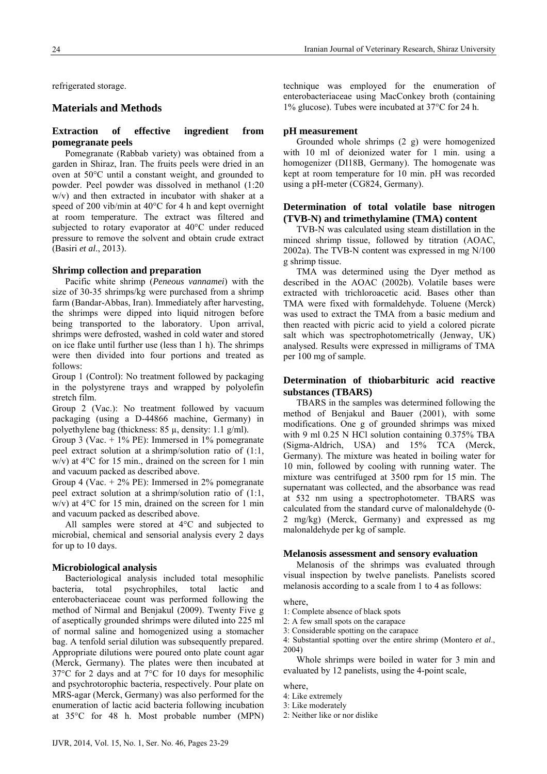refrigerated storage.

# **Materials and Methods**

## **Extraction of effective ingredient from pomegranate peels**

Pomegranate (Rabbab variety) was obtained from a garden in Shiraz, Iran. The fruits peels were dried in an oven at 50°C until a constant weight, and grounded to powder. Peel powder was dissolved in methanol (1:20 w/v) and then extracted in incubator with shaker at a speed of 200 vib/min at 40°C for 4 h and kept overnight at room temperature. The extract was filtered and subjected to rotary evaporator at 40°C under reduced pressure to remove the solvent and obtain crude extract (Basiri *et al*., 2013).

## **Shrimp collection and preparation**

Pacific white shrimp (*Peneous vannamei*) with the size of 30-35 shrimps/kg were purchased from a shrimp farm (Bandar-Abbas, Iran). Immediately after harvesting, the shrimps were dipped into liquid nitrogen before being transported to the laboratory. Upon arrival, shrimps were defrosted, washed in cold water and stored on ice flake until further use (less than 1 h). The shrimps were then divided into four portions and treated as follows:

Group 1 (Control): No treatment followed by packaging in the polystyrene trays and wrapped by polyolefin stretch film.

Group 2 (Vac.): No treatment followed by vacuum packaging (using a D-44866 machine, Germany) in polyethylene bag (thickness:  $85 \mu$ , density: 1.1 g/ml).

Group 3 (Vac.  $+1\%$  PE): Immersed in 1% pomegranate peel extract solution at a shrimp/solution ratio of (1:1, w/v) at 4°C for 15 min., drained on the screen for 1 min and vacuum packed as described above.

Group 4 (Vac.  $+ 2\%$  PE): Immersed in 2% pomegranate peel extract solution at a shrimp/solution ratio of (1:1, w/v) at 4°C for 15 min, drained on the screen for 1 min and vacuum packed as described above.

All samples were stored at 4°C and subjected to microbial, chemical and sensorial analysis every 2 days for up to 10 days.

## **Microbiological analysis**

Bacteriological analysis included total mesophilic bacteria, total psychrophiles, total lactic and enterobacteriaceae count was performed following the method of Nirmal and Benjakul (2009). Twenty Five g of aseptically grounded shrimps were diluted into 225 ml of normal saline and homogenized using a stomacher bag. A tenfold serial dilution was subsequently prepared. Appropriate dilutions were poured onto plate count agar (Merck, Germany). The plates were then incubated at 37°C for 2 days and at 7°C for 10 days for mesophilic and psychrotorophic bacteria, respectively. Pour plate on MRS-agar (Merck, Germany) was also performed for the enumeration of lactic acid bacteria following incubation at 35°C for 48 h. Most probable number (MPN) technique was employed for the enumeration of enterobacteriaceae using MacConkey broth (containing 1% glucose). Tubes were incubated at 37°C for 24 h.

## **pH measurement**

Grounded whole shrimps (2 g) were homogenized with 10 ml of deionized water for 1 min. using a homogenizer (DI18B, Germany). The homogenate was kept at room temperature for 10 min. pH was recorded using a pH-meter (CG824, Germany).

## **Determination of total volatile base nitrogen (TVB-N) and trimethylamine (TMA) content**

TVB-N was calculated using steam distillation in the minced shrimp tissue, followed by titration (AOAC, 2002a). The TVB-N content was expressed in mg N/100 g shrimp tissue.

TMA was determined using the Dyer method as described in the AOAC (2002b). Volatile bases were extracted with trichloroacetic acid. Bases other than TMA were fixed with formaldehyde. Toluene (Merck) was used to extract the TMA from a basic medium and then reacted with picric acid to yield a colored picrate salt which was spectrophotometrically (Jenway, UK) analysed. Results were expressed in milligrams of TMA per 100 mg of sample.

# **Determination of thiobarbituric acid reactive substances (TBARS)**

TBARS in the samples was determined following the method of Benjakul and Bauer (2001), with some modifications. One g of grounded shrimps was mixed with 9 ml 0.25 N HCl solution containing 0.375% TBA (Sigma-Aldrich, USA) and 15% TCA (Merck, Germany). The mixture was heated in boiling water for 10 min, followed by cooling with running water. The mixture was centrifuged at 3500 rpm for 15 min. The supernatant was collected, and the absorbance was read at 532 nm using a spectrophotometer. TBARS was calculated from the standard curve of malonaldehyde (0- 2 mg/kg) (Merck, Germany) and expressed as mg malonaldehyde per kg of sample.

#### **Melanosis assessment and sensory evaluation**

Melanosis of the shrimps was evaluated through visual inspection by twelve panelists. Panelists scored melanosis according to a scale from 1 to 4 as follows:

## where,

- 1: Complete absence of black spots
- 2: A few small spots on the carapace
- 3: Considerable spotting on the carapace
- 4: Substantial spotting over the entire shrimp (Montero *et al*., 2004)

Whole shrimps were boiled in water for 3 min and evaluated by 12 panelists, using the 4-point scale,

where,

- 4: Like extremely
- 3: Like moderately
- 2: Neither like or nor dislike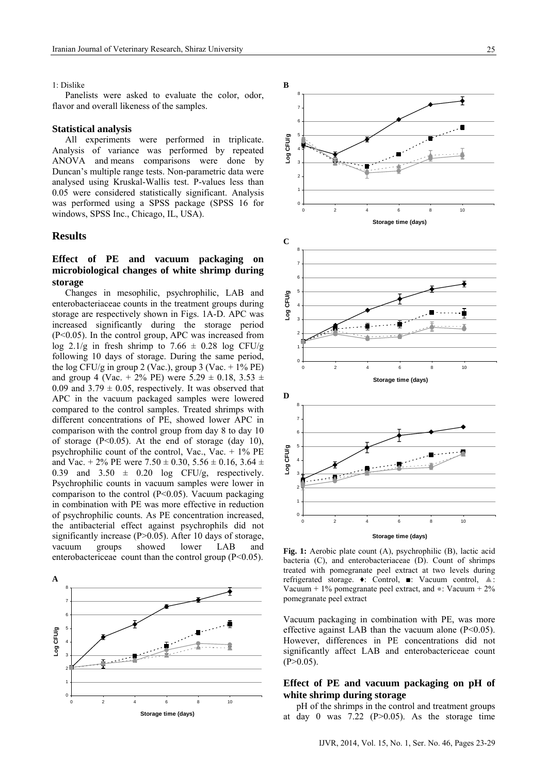#### 1: Dislike

Panelists were asked to evaluate the color, odor, flavor and overall likeness of the samples.

#### **Statistical analysis**

All experiments were performed in triplicate. Analysis of variance was performed by repeated ANOVA and means comparisons were done by Duncan's multiple range tests. Non-parametric data were analysed using Kruskal-Wallis test. P-values less than 0.05 were considered statistically significant. Analysis was performed using a SPSS package (SPSS 16 for windows, SPSS Inc., Chicago, IL, USA).

## **Results**

# **Effect of PE and vacuum packaging on microbiological changes of white shrimp during storage**

Changes in mesophilic, psychrophilic, LAB and enterobacteriaceae counts in the treatment groups during storage are respectively shown in Figs. 1A-D. APC was increased significantly during the storage period (P<0.05). In the control group, APC was increased from log 2.1/g in fresh shrimp to 7.66  $\pm$  0.28 log CFU/g following 10 days of storage. During the same period, the log CFU/g in group 2 (Vac.), group 3 (Vac.  $+1\%$  PE) and group 4 (Vac. + 2% PE) were  $5.29 \pm 0.18$ ,  $3.53 \pm 1.5$ 0.09 and  $3.79 \pm 0.05$ , respectively. It was observed that APC in the vacuum packaged samples were lowered compared to the control samples. Treated shrimps with different concentrations of PE, showed lower APC in comparison with the control group from day 8 to day 10 of storage  $(P<0.05)$ . At the end of storage (day 10), psychrophilic count of the control, Vac., Vac.  $+1\%$  PE and Vac. + 2% PE were  $7.50 \pm 0.30$ ,  $5.56 \pm 0.16$ ,  $3.64 \pm 0.16$ 0.39 and  $3.50 \pm 0.20$  log CFU/g, respectively. Psychrophilic counts in vacuum samples were lower in comparison to the control  $(P<0.05)$ . Vacuum packaging in combination with PE was more effective in reduction of psychrophilic counts. As PE concentration increased, the antibacterial effect against psychrophils did not significantly increase (P>0.05). After 10 days of storage, vacuum groups showed lower LAB and enterobactericeae count than the control group  $(P<0.05)$ .





**Fig. 1:** Aerobic plate count (A), psychrophilic (B), lactic acid bacteria (C), and enterobacteriaceae (D). Count of shrimps treated with pomegranate peel extract at two levels during refrigerated storage. ♦: Control, ■: Vacuum control, ▲: Vacuum + 1% pomegranate peel extract, and  $\bullet$ : Vacuum + 2% pomegranate peel extract

Vacuum packaging in combination with PE, was more effective against LAB than the vacuum alone (P<0.05). However, differences in PE concentrations did not significantly affect LAB and enterobactericeae count  $(P>0.05)$ .

## **Effect of PE and vacuum packaging on pH of white shrimp during storage**

pH of the shrimps in the control and treatment groups at day 0 was  $7.22$  (P $> 0.05$ ). As the storage time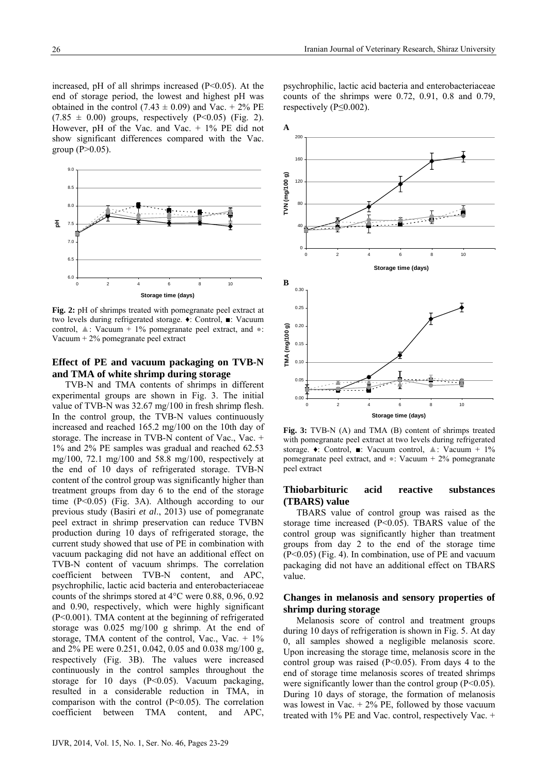psychrophilic, lactic acid bacteria and enterobacteriaceae counts of the shrimps were 0.72, 0.91, 0.8 and 0.79,

respectively ( $P \leq 0.002$ ).

increased, pH of all shrimps increased (P<0.05). At the end of storage period, the lowest and highest pH was obtained in the control (7.43  $\pm$  0.09) and Vac. + 2% PE  $(7.85 \pm 0.00)$  groups, respectively  $(P<0.05)$  (Fig. 2). However, pH of the Vac. and Vac. + 1% PE did not show significant differences compared with the Vac. group  $(P>0.05)$ .



**Fig. 2:** pH of shrimps treated with pomegranate peel extract at two levels during refrigerated storage. ♦: Control, ■: Vacuum control,  $\triangle$ : Vacuum + 1% pomegranate peel extract, and  $\bullet$ : Vacuum + 2% pomegranate peel extract

# **Effect of PE and vacuum packaging on TVB-N and TMA of white shrimp during storage**

TVB-N and TMA contents of shrimps in different experimental groups are shown in Fig. 3. The initial value of TVB-N was 32.67 mg/100 in fresh shrimp flesh. In the control group, the TVB-N values continuously increased and reached 165.2 mg/100 on the 10th day of storage. The increase in TVB-N content of Vac., Vac. + 1% and 2% PE samples was gradual and reached 62.53 mg/100, 72.1 mg/100 and 58.8 mg/100, respectively at the end of 10 days of refrigerated storage. TVB-N content of the control group was significantly higher than treatment groups from day 6 to the end of the storage time (P<0.05) (Fig. 3A). Although according to our previous study (Basiri *et al*., 2013) use of pomegranate peel extract in shrimp preservation can reduce TVBN production during 10 days of refrigerated storage, the current study showed that use of PE in combination with vacuum packaging did not have an additional effect on TVB-N content of vacuum shrimps. The correlation coefficient between TVB-N content, and APC, psychrophilic, lactic acid bacteria and enterobacteriaceae counts of the shrimps stored at 4°C were 0.88, 0.96, 0.92 and 0.90, respectively, which were highly significant (P<0.001). TMA content at the beginning of refrigerated storage was 0.025 mg/100 g shrimp. At the end of storage, TMA content of the control, Vac., Vac.  $+1\%$ and 2% PE were 0.251, 0.042, 0.05 and 0.038 mg/100 g, respectively (Fig. 3B). The values were increased continuously in the control samples throughout the storage for 10 days  $(P<0.05)$ . Vacuum packaging, resulted in a considerable reduction in TMA, in comparison with the control  $(P<0.05)$ . The correlation coefficient between TMA content, and APC,



**Fig. 3:** TVB-N (A) and TMA (B) content of shrimps treated with pomegranate peel extract at two levels during refrigerated storage. ♦: Control, ■: Vacuum control, ▲: Vacuum + 1% pomegranate peel extract, and  $\bullet$ : Vacuum + 2% pomegranate peel extract

## **Thiobarbituric acid reactive substances (TBARS) value**

TBARS value of control group was raised as the storage time increased (P<0.05). TBARS value of the control group was significantly higher than treatment groups from day 2 to the end of the storage time (P<0.05) (Fig. 4). In combination, use of PE and vacuum packaging did not have an additional effect on TBARS value.

## **Changes in melanosis and sensory properties of shrimp during storage**

Melanosis score of control and treatment groups during 10 days of refrigeration is shown in Fig. 5. At day 0, all samples showed a negligible melanosis score. Upon increasing the storage time, melanosis score in the control group was raised  $(P<0.05)$ . From days 4 to the end of storage time melanosis scores of treated shrimps were significantly lower than the control group  $(P<0.05)$ . During 10 days of storage, the formation of melanosis was lowest in Vac.  $+ 2\%$  PE, followed by those vacuum treated with 1% PE and Vac. control, respectively Vac. +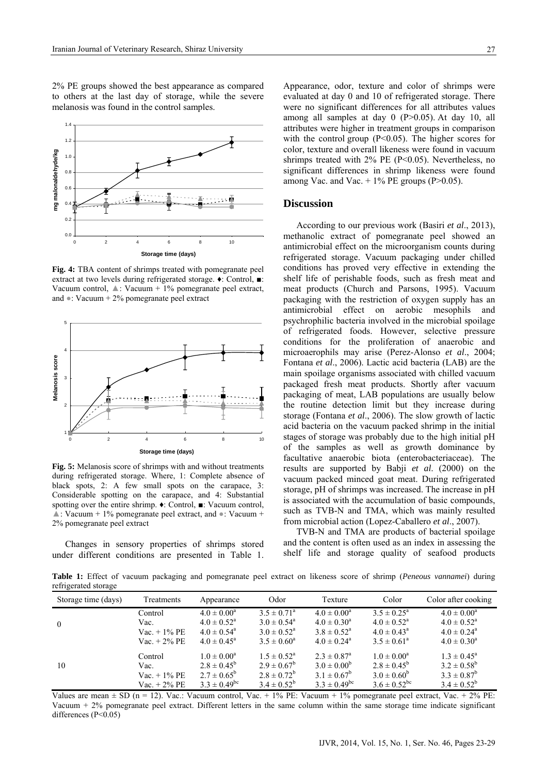2% PE groups showed the best appearance as compared to others at the last day of storage, while the severe melanosis was found in the control samples.



**Fig. 4:** TBA content of shrimps treated with pomegranate peel extract at two levels during refrigerated storage. ♦: Control, ■: Vacuum control,  $\triangle$ : Vacuum + 1% pomegranate peel extract, and ●: Vacuum + 2% pomegranate peel extract



**Fig. 5:** Melanosis score of shrimps with and without treatments during refrigerated storage. Where, 1: Complete absence of black spots, 2: A few small spots on the carapace, 3: Considerable spotting on the carapace, and 4: Substantial spotting over the entire shrimp. ♦: Control, ■: Vacuum control, ▲: Vacuum + 1% pomegranate peel extract, and ●: Vacuum + 2% pomegranate peel extract

Changes in sensory properties of shrimps stored under different conditions are presented in Table 1.

Appearance, odor, texture and color of shrimps were evaluated at day 0 and 10 of refrigerated storage. There were no significant differences for all attributes values among all samples at day 0 (P>0.05). At day 10, all attributes were higher in treatment groups in comparison with the control group  $(P<0.05)$ . The higher scores for color, texture and overall likeness were found in vacuum shrimps treated with  $2\%$  PE (P<0.05). Nevertheless, no significant differences in shrimp likeness were found among Vac. and Vac.  $+1\%$  PE groups (P>0.05).

#### **Discussion**

According to our previous work (Basiri *et al*., 2013), methanolic extract of pomegranate peel showed an antimicrobial effect on the microorganism counts during refrigerated storage. Vacuum packaging under chilled conditions has proved very effective in extending the shelf life of perishable foods, such as fresh meat and meat products (Church and Parsons, 1995). Vacuum packaging with the restriction of oxygen supply has an antimicrobial effect on aerobic mesophils and psychrophilic bacteria involved in the microbial spoilage of refrigerated foods. However, selective pressure conditions for the proliferation of anaerobic and microaerophils may arise (Perez-Alonso *et al*., 2004; Fontana *et al*., 2006). Lactic acid bacteria (LAB) are the main spoilage organisms associated with chilled vacuum packaged fresh meat products. Shortly after vacuum packaging of meat, LAB populations are usually below the routine detection limit but they increase during storage (Fontana *et al*., 2006). The slow growth of lactic acid bacteria on the vacuum packed shrimp in the initial stages of storage was probably due to the high initial pH of the samples as well as growth dominance by facultative anaerobic biota (enterobacteriaceae). The results are supported by Babji *et al*. (2000) on the vacuum packed minced goat meat. During refrigerated storage, pH of shrimps was increased. The increase in pH is associated with the accumulation of basic compounds, such as TVB-N and TMA, which was mainly resulted from microbial action (Lopez-Caballero *et al*., 2007).

TVB-N and TMA are products of bacterial spoilage and the content is often used as an index in assessing the shelf life and storage quality of seafood products

**Table 1:** Effect of vacuum packaging and pomegranate peel extract on likeness score of shrimp (*Peneous vannamei*) during refrigerated storage

| Storage time (days) | Treatments      | Appearance                                    | Odor                                             | Texture                              | Color                                               | Color after cooking                           |
|---------------------|-----------------|-----------------------------------------------|--------------------------------------------------|--------------------------------------|-----------------------------------------------------|-----------------------------------------------|
|                     | Control<br>Vac. | $4.0 \pm 0.00^a$<br>$4.0 \pm 0.52^{\text{a}}$ | $3.5 \pm 0.71^{\circ}$<br>$3.0 \pm 0.54^{\circ}$ | $4.0 \pm 0.00^a$<br>$4.0 \pm 0.30^a$ | $3.5 \pm 0.25^{\circ}$<br>$4.0 \pm 0.52^{\text{a}}$ | $4.0 \pm 0.00^a$<br>$4.0 \pm 0.52^{\text{a}}$ |
| $\mathbf{0}$        | $Vac. + 1\%$ PE | $4.0 \pm 0.54$ <sup>a</sup>                   | $3.0 \pm 0.52^{\circ}$                           | $3.8 \pm 0.52^{\circ}$               | $4.0 \pm 0.43^{\circ}$                              | $4.0 \pm 0.24$ <sup>a</sup>                   |
|                     | $Vac. + 2\%$ PE | $4.0 \pm 0.45^{\circ}$                        | $3.5 \pm 0.60^a$                                 | $4.0 \pm 0.24$ <sup>a</sup>          | $3.5 \pm 0.61^{\circ}$                              | $4.0 \pm 0.30^a$                              |
|                     | Control         | $1.0 \pm 0.00^a$                              | $1.5 \pm 0.52^{\circ}$                           | $2.3 \pm 0.87$ <sup>a</sup>          | $1.0 \pm 0.00^a$                                    | $1.3 \pm 0.45^{\circ}$                        |
| 10                  | Vac.            | $2.8 \pm 0.45^b$                              | $2.9 \pm 0.67^b$                                 | $3.0 \pm 0.00^{b}$                   | $2.8 \pm 0.45^b$                                    | $3.2 \pm 0.58^b$                              |
|                     | $Vac. + 1\%$ PE | $2.7 \pm 0.65^b$                              | $2.8 \pm 0.72^b$                                 | $3.1 \pm 0.67^b$                     | $3.0 \pm 0.60^b$                                    | $3.3 \pm 0.87^b$                              |
|                     | $Vac. + 2\%$ PE | $3.3 \pm 0.49^{\rm bc}$                       | $3.4 \pm 0.52^b$                                 | $3.3 \pm 0.49^{\rm bc}$              | $3.6 \pm 0.52$ <sup>bc</sup>                        | $3.4 \pm 0.52^b$                              |

Values are mean  $\pm$  SD (n = 12). Vac.: Vacuum control, Vac.  $+$  1% PE: Vacuum  $+$  1% pomegranate peel extract, Vac.  $+$  2% PE: Vacuum + 2% pomegranate peel extract. Different letters in the same column within the same storage time indicate significant differences (P<0.05)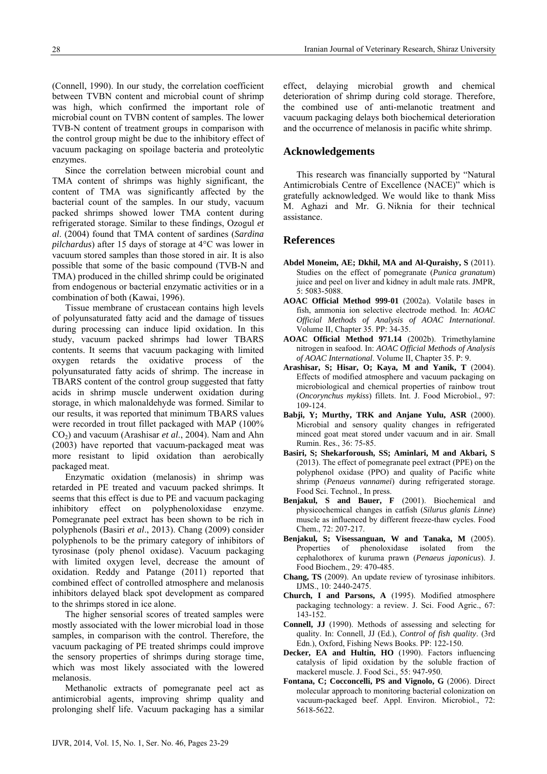(Connell, 1990). In our study, the correlation coefficient between TVBN content and microbial count of shrimp was high, which confirmed the important role of microbial count on TVBN content of samples. The lower TVB-N content of treatment groups in comparison with the control group might be due to the inhibitory effect of vacuum packaging on spoilage bacteria and proteolytic enzymes.

Since the correlation between microbial count and TMA content of shrimps was highly significant, the content of TMA was significantly affected by the bacterial count of the samples. In our study, vacuum packed shrimps showed lower TMA content during refrigerated storage. Similar to these findings, Ozogul *et al*. (2004) found that TMA content of sardines (*Sardina pilchardus*) after 15 days of storage at 4°C was lower in vacuum stored samples than those stored in air. It is also possible that some of the basic compound (TVB-N and TMA) produced in the chilled shrimp could be originated from endogenous or bacterial enzymatic activities or in a combination of both (Kawai, 1996).

Tissue membrane of crustacean contains high levels of polyunsaturated fatty acid and the damage of tissues during processing can induce lipid oxidation. In this study, vacuum packed shrimps had lower TBARS contents. It seems that vacuum packaging with limited oxygen retards the oxidative process of the polyunsaturated fatty acids of shrimp. The increase in TBARS content of the control group suggested that fatty acids in shrimp muscle underwent oxidation during storage, in which malonaldehyde was formed. Similar to our results, it was reported that minimum TBARS values were recorded in trout fillet packaged with MAP (100% CO2) and vacuum (Arashisar *et al*., 2004). Nam and Ahn (2003) have reported that vacuum-packaged meat was more resistant to lipid oxidation than aerobically packaged meat.

Enzymatic oxidation (melanosis) in shrimp was retarded in PE treated and vacuum packed shrimps. It seems that this effect is due to PE and vacuum packaging inhibitory effect on polyphenoloxidase enzyme. Pomegranate peel extract has been shown to be rich in polyphenols (Basiri *et al*., 2013). Chang (2009) consider polyphenols to be the primary category of inhibitors of tyrosinase (poly phenol oxidase). Vacuum packaging with limited oxygen level, decrease the amount of oxidation. Reddy and Patange (2011) reported that combined effect of controlled atmosphere and melanosis inhibitors delayed black spot development as compared to the shrimps stored in ice alone.

The higher sensorial scores of treated samples were mostly associated with the lower microbial load in those samples, in comparison with the control. Therefore, the vacuum packaging of PE treated shrimps could improve the sensory properties of shrimps during storage time, which was most likely associated with the lowered melanosis.

Methanolic extracts of pomegranate peel act as antimicrobial agents, improving shrimp quality and prolonging shelf life. Vacuum packaging has a similar

effect, delaying microbial growth and chemical deterioration of shrimp during cold storage. Therefore, the combined use of anti-melanotic treatment and vacuum packaging delays both biochemical deterioration and the occurrence of melanosis in pacific white shrimp.

## **Acknowledgements**

This research was financially supported by "Natural Antimicrobials Centre of Excellence (NACE)" which is gratefully acknowledged. We would like to thank Miss M. Aghazi and Mr. G. Niknia for their technical assistance.

## **References**

- **Abdel Moneim, AE; Dkhil, MA and Al-Quraishy, S** (2011). Studies on the effect of pomegranate (*Punica granatum*) juice and peel on liver and kidney in adult male rats. JMPR, 5: 5083-5088.
- **AOAC Official Method 999-01** (2002a). Volatile bases in fish, ammonia ion selective electrode method. In: *AOAC Official Methods of Analysis of AOAC International*. Volume II, Chapter 35. PP: 34-35.
- **AOAC Official Method 971.14** (2002b). Trimethylamine nitrogen in seafood. In: *AOAC Official Methods of Analysis of AOAC International*. Volume II, Chapter 35. P: 9.
- **Arashisar, S; Hisar, O; Kaya, M and Yanik, T** (2004). Effects of modified atmosphere and vacuum packaging on microbiological and chemical properties of rainbow trout (*Oncorynchus mykiss*) fillets. Int. J. Food Microbiol., 97: 109-124.
- **Babji, Y; Murthy, TRK and Anjane Yulu, ASR** (2000). Microbial and sensory quality changes in refrigerated minced goat meat stored under vacuum and in air. Small Rumin. Res., 36: 75-85.
- **Basiri, S; Shekarforoush, SS; Aminlari, M and Akbari, S** (2013). The effect of pomegranate peel extract (PPE) on the polyphenol oxidase (PPO) and quality of Pacific white shrimp (*Penaeus vannamei*) during refrigerated storage. Food Sci. Technol., In press.
- **Benjakul, S and Bauer, F** (2001). Biochemical and physicochemical changes in catfish (*Silurus glanis Linne*) muscle as influenced by different freeze-thaw cycles. Food Chem., 72: 207-217.
- **Benjakul, S; Visessanguan, W and Tanaka, M** (2005). Properties of phenoloxidase isolated from the cephalothorex of kuruma prawn (*Penaeus japonicus*). J. Food Biochem., 29: 470-485.
- **Chang, TS** (2009). An update review of tyrosinase inhibitors. IJMS., 10: 2440-2475.
- **Church, I and Parsons, A** (1995). Modified atmosphere packaging technology: a review. J. Sci. Food Agric., 67: 143-152.
- **Connell, JJ** (1990). Methods of assessing and selecting for quality. In: Connell, JJ (Ed.), *Control of fish quality*. (3rd Edn.), Oxford, Fishing News Books. PP: 122-150.
- **Decker, EA and Hultin, HO** (1990). Factors influencing catalysis of lipid oxidation by the soluble fraction of mackerel muscle. J. Food Sci., 55: 947-950.
- **Fontana, C; Cocconcelli, PS and Vignolo, G** (2006). Direct molecular approach to monitoring bacterial colonization on vacuum-packaged beef. Appl. Environ. Microbiol., 72: 5618-5622.